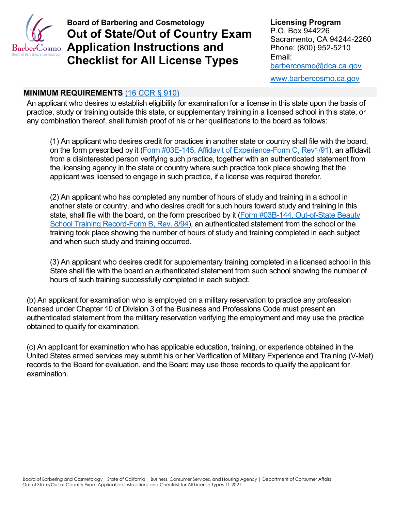

**Board of Barbering and Cosmetology Out of State/Out of Country Exam Application Instructions and Checklist for All License Types**

**Licensing Program** P.O. Box 944226 Sacramento, CA 94244-2260 Phone: (800) 952-5210 Email: [barbercosmo@dca.ca.gov](mailto:barbercosmo@dca.ca.gov)

[www.barbercosmo.ca.gov](http://www.barbercosmo.ca.gov/)

#### **MINIMUM REQUIREMENTS** [\(16 CCR § 910\)](https://govt.westlaw.com/calregs/Document/I6B03129EFF594C2082AF1340506EFB4A?viewType=FullText&originationContext=documenttoc&transitionType=CategoryPageItem&contextData=(sc.Default))

An applicant who desires to establish eligibility for examination for a license in this state upon the basis of practice, study or training outside this state, or supplementary training in a licensed school in this state, or any combination thereof, shall furnish proof of his or her qualifications to the board as follows:

(1) An applicant who desires credit for practices in another state or country shall file with the board, on the form prescribed by it [\(Form #03E-145, Affidavit of Experience-Form C, Rev1/91\)](https://barbercosmo.ca.gov/forms_pubs/forms/ossae.pdf), an affidavit from a disinterested person verifying such practice, together with an authenticated statement from the licensing agency in the state or country where such practice took place showing that the applicant was licensed to engage in such practice, if a license was required therefor.

(2) An applicant who has completed any number of hours of study and training in a school in another state or country, and who desires credit for such hours toward study and training in this state, shall file with the board, on the form prescribed by it (Form #03B-144, Out-of-State Beauty [School Training Record-Form B, Rev. 8/94\)](https://barbercosmo.ca.gov/forms_pubs/forms/osastr.pdf), an authenticated statement from the school or the training took place showing the number of hours of study and training completed in each subject and when such study and training occurred.

(3) An applicant who desires credit for supplementary training completed in a licensed school in this State shall file with the board an authenticated statement from such school showing the number of hours of such training successfully completed in each subject.

(b) An applicant for examination who is employed on a military reservation to practice any profession licensed under Chapter 10 of Division 3 of the Business and Professions Code must present an authenticated statement from the military reservation verifying the employment and may use the practice obtained to qualify for examination.

(c) An applicant for examination who has applicable education, training, or experience obtained in the United States armed services may submit his or her Verification of Military Experience and Training (V-Met) records to the Board for evaluation, and the Board may use those records to qualify the applicant for examination.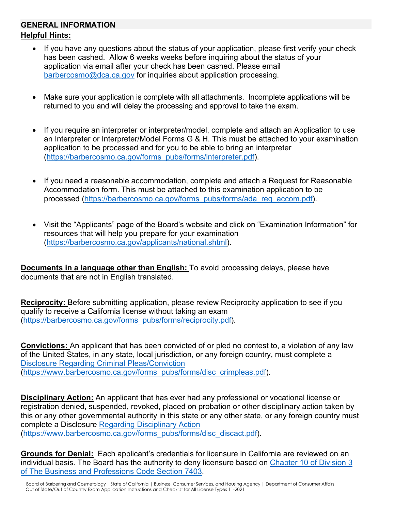# **GENERAL INFORMATION Helpful Hints:**

- If you have any questions about the status of your application, please first verify your check has been cashed. Allow 6 weeks weeks before inquiring about the status of your application via email after your check has been cashed. Please email [barbercosmo@dca.ca.gov](mailto:barbercosmo@dca.ca.gov) for inquiries about application processing.
- Make sure your application is complete with all attachments. Incomplete applications will be returned to you and will delay the processing and approval to take the exam.
- If you require an interpreter or interpreter/model, complete and attach an Application to use an Interpreter or Interpreter/Model Forms G & H. This must be attached to your examination application to be processed and for you to be able to bring an interpreter [\(https://barbercosmo.ca.gov/forms\\_pubs/forms/interpreter.pdf\)](https://barbercosmo.ca.gov/forms_pubs/forms/interpreter.pdf).
- If you need a reasonable accommodation, complete and attach a Request for Reasonable Accommodation form. This must be attached to this examination application to be processed [\(https://barbercosmo.ca.gov/forms\\_pubs/forms/ada\\_req\\_accom.pdf\)](https://barbercosmo.ca.gov/forms_pubs/forms/ada_req_accom.pdf).
- Visit the "Applicants" page of the Board's website and click on "Examination Information" for resources that will help you prepare for your examination [\(https://barbercosmo.ca.gov/applicants/national.shtml\)](https://barbercosmo.ca.gov/applicants/national.shtml).

**Documents in a language other than English:** To avoid processing delays, please have documents that are not in English translated.

**Reciprocity:** Before submitting application, please review Reciprocity application to see if you qualify to receive a California license without taking an exam [\(https://barbercosmo.ca.gov/forms\\_pubs/forms/reciprocity.pdf\)](https://barbercosmo.ca.gov/forms_pubs/forms/reciprocity.pdf).

**Convictions:** An applicant that has been convicted of or pled no contest to, a violation of any law of the United States, in any state, local jurisdiction, or any foreign country, must complete a [Disclosure Regarding Criminal Pleas/Conviction](https://barbercosmo.ca.gov/forms_pubs/forms/disc_crimpleas.pdf) [\(https://www.barbercosmo.ca.gov/forms\\_pubs/forms/disc\\_crimpleas.pdf\)](https://www.barbercosmo.ca.gov/forms_pubs/forms/disc_crimpleas.pdf).

**Disciplinary Action:** An applicant that has ever had any professional or vocational license or registration denied, suspended, revoked, placed on probation or other disciplinary action taken by this or any other governmental authority in this state or any other state, or any foreign country must complete a Disclosure [Regarding Disciplinary Action](https://barbercosmo.ca.gov/forms_pubs/forms/disc_discact.pdf) [\(https://www.barbercosmo.ca.gov/forms\\_pubs/forms/disc\\_discact.pdf\)](https://www.barbercosmo.ca.gov/forms_pubs/forms/disc_discact.pdf).

**Grounds for Denial:** Each applicant's credentials for licensure in California are reviewed on an individual basis. The Board has the authority to deny licensure based on [Chapter 10 of Division 3](http://leginfo.legislature.ca.gov/faces/codes_displaySection.xhtml?lawCode=BPC§ionNum=480.)  [of The Business and Professions Code Section 7403.](http://leginfo.legislature.ca.gov/faces/codes_displaySection.xhtml?lawCode=BPC§ionNum=480.)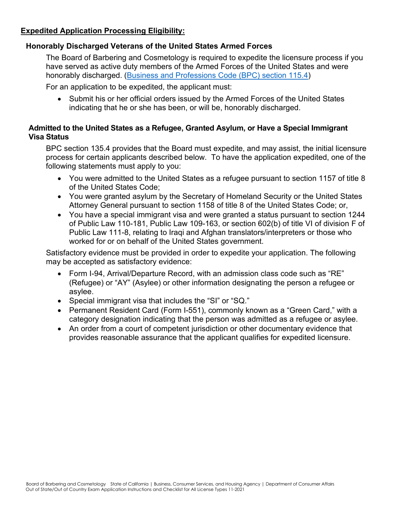### **Expedited Application Processing Eligibility:**

### **Honorably Discharged Veterans of the United States Armed Forces**

The Board of Barbering and Cosmetology is required to expedite the licensure process if you have served as active duty members of the Armed Forces of the United States and were honorably discharged. [\(Business and Professions Code \(BPC\) section 115.4\)](http://leginfo.legislature.ca.gov/faces/codes_displaySection.xhtml?lawCode=BPC§ionNum=115.4.)

For an application to be expedited, the applicant must:

• Submit his or her official orders issued by the Armed Forces of the United States indicating that he or she has been, or will be, honorably discharged.

#### **Admitted to the United States as a Refugee, Granted Asylum, or Have a Special Immigrant Visa Status**

BPC section 135.4 provides that the Board must expedite, and may assist, the initial licensure process for certain applicants described below. To have the application expedited, one of the following statements must apply to you:

- You were admitted to the United States as a refugee pursuant to section 1157 of title 8 of the United States Code;
- You were granted asylum by the Secretary of Homeland Security or the United States Attorney General pursuant to section 1158 of title 8 of the United States Code; or,
- You have a special immigrant visa and were granted a status pursuant to section 1244 of Public Law 110-181, Public Law 109-163, or section 602(b) of title VI of division F of Public Law 111-8, relating to Iraqi and Afghan translators/interpreters or those who worked for or on behalf of the United States government.

Satisfactory evidence must be provided in order to expedite your application. The following may be accepted as satisfactory evidence:

- Form I-94, Arrival/Departure Record, with an admission class code such as "RE" (Refugee) or "AY" (Asylee) or other information designating the person a refugee or asylee.
- Special immigrant visa that includes the "SI" or "SQ."
- Permanent Resident Card (Form I-551), commonly known as a "Green Card," with a category designation indicating that the person was admitted as a refugee or asylee.
- An order from a court of competent jurisdiction or other documentary evidence that provides reasonable assurance that the applicant qualifies for expedited licensure.